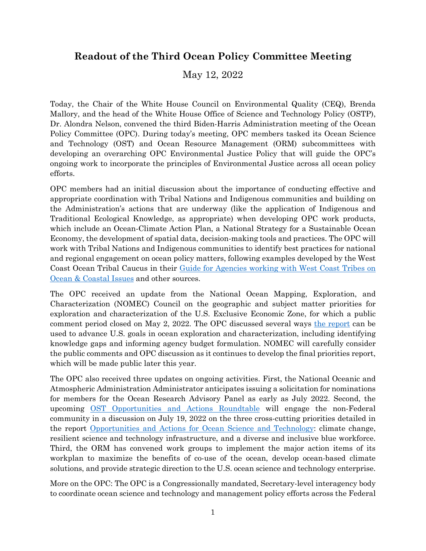## **Readout of the Third Ocean Policy Committee Meeting**

May 12, 2022

Today, the Chair of the White House Council on Environmental Quality (CEQ), Brenda Mallory, and the head of the White House Office of Science and Technology Policy (OSTP), Dr. Alondra Nelson, convened the third Biden-Harris Administration meeting of the Ocean Policy Committee (OPC). During today's meeting, OPC members tasked its Ocean Science and Technology (OST) and Ocean Resource Management (ORM) subcommittees with developing an overarching OPC Environmental Justice Policy that will guide the OPC's ongoing work to incorporate the principles of Environmental Justice across all ocean policy efforts.

OPC members had an initial discussion about the importance of conducting effective and appropriate coordination with Tribal Nations and Indigenous communities and building on the Administration's actions that are underway (like the application of Indigenous and Traditional Ecological Knowledge, as appropriate) when developing OPC work products, which include an Ocean-Climate Action Plan, a National Strategy for a Sustainable Ocean Economy, the development of spatial data, decision-making tools and practices. The OPC will work with Tribal Nations and Indigenous communities to identify best practices for national and regional engagement on ocean policy matters, following examples developed by the West Coast Ocean Tribal Caucus in their [Guide for Agencies working with West Coast Tribes on](https://static1.squarespace.com/static/5bc79df3a9ab953d587032ca/t/5f0cdc876f40e375a32305af/1594678422449/WestCoastTribalEngagmentGuidance_July2020.pdf)  [Ocean & Coastal Issues](https://static1.squarespace.com/static/5bc79df3a9ab953d587032ca/t/5f0cdc876f40e375a32305af/1594678422449/WestCoastTribalEngagmentGuidance_July2020.pdf) and other sources.

The OPC received an update from the National Ocean Mapping, Exploration, and Characterization (NOMEC) Council on the geographic and subject matter priorities for exploration and characterization of the U.S. Exclusive Economic Zone, for which a public comment period closed on May 2, 2022. The OPC discussed several ways [the report](https://www.noaa.gov/sites/default/files/2022-03/OEC_Priorities_Report_DRAFT.pdf) can be used to advance U.S. goals in ocean exploration and characterization, including identifying knowledge gaps and informing agency budget formulation. NOMEC will carefully consider the public comments and OPC discussion as it continues to develop the final priorities report, which will be made public later this year.

The OPC also received three updates on ongoing activities. First, the National Oceanic and Atmospheric Administration Administrator anticipates issuing a solicitation for nominations for members for the Ocean Research Advisory Panel as early as July 2022. Second, the upcoming [OST Opportunities and Actions Roundtable](https://www.noaa.gov/interagency-ocean-policy/sost-roundtable) will engage the non-Federal community in a discussion on July 19, 2022 on the three cross-cutting priorities detailed in the report [Opportunities and Actions for Ocean Science and Technology:](https://www.whitehouse.gov/wp-content/uploads/2022/04/03-2022-SOST-Opportunities-and-Actions-for-Ocean-Science-and-Technology-2022-2028.pdf) climate change, resilient science and technology infrastructure, and a diverse and inclusive blue workforce. Third, the ORM has convened work groups to implement the major action items of its workplan to maximize the benefits of co-use of the ocean, develop ocean-based climate solutions, and provide strategic direction to the U.S. ocean science and technology enterprise.

More on the OPC: The OPC is a Congressionally mandated, Secretary-level interagency body to coordinate ocean science and technology and management policy efforts across the Federal